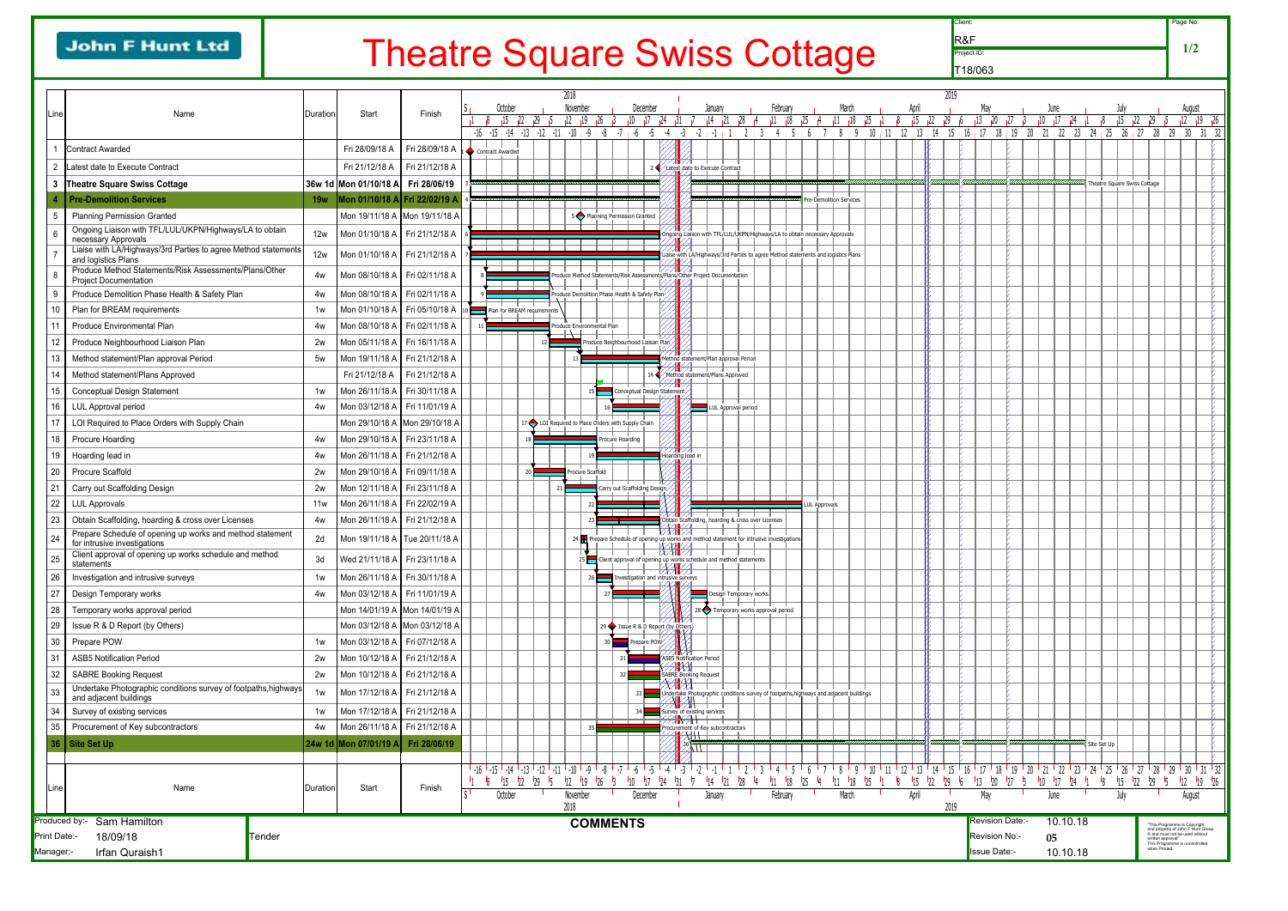## **John F Hunt Ltd**

## Theatre Square Swiss Cottage

Client:

Page No:

**1/2**

Project ID: R&F T18/063

|                |                                                                                           |                   |                                 |                                           |  |                       |                                                   |           | 2018         |                  |                                               |                  |           |                                                                                                                 |                  |  |                                 |                                                    |  |  |          |    |  |                                                                                    |            |  |
|----------------|-------------------------------------------------------------------------------------------|-------------------|---------------------------------|-------------------------------------------|--|-----------------------|---------------------------------------------------|-----------|--------------|------------------|-----------------------------------------------|------------------|-----------|-----------------------------------------------------------------------------------------------------------------|------------------|--|---------------------------------|----------------------------------------------------|--|--|----------|----|--|------------------------------------------------------------------------------------|------------|--|
| _ine           | Name                                                                                      | <b>I</b> Duration | Start                           | Finish                                    |  | October               |                                                   |           |              | November         |                                               |                  | December  |                                                                                                                 |                  |  | January                         |                                                    |  |  | February |    |  |                                                                                    | March      |  |
|                |                                                                                           |                   |                                 |                                           |  | 15                    | 22<br>129                                         |           | 12<br>$-10$  |                  | 26                                            |                  |           |                                                                                                                 |                  |  |                                 |                                                    |  |  | 11       | 18 |  |                                                                                    | $11 \t18$  |  |
|                | <b>Contract Awarded</b>                                                                   |                   | Fri 28/09/18 A                  | Fri 28/09/18 A $\vert_1$ Contract Awarded |  | $-16$ $-15$ $-14$ $-$ | $+13$                                             | $12 + 11$ |              |                  |                                               |                  |           |                                                                                                                 |                  |  |                                 |                                                    |  |  |          |    |  |                                                                                    |            |  |
| $\overline{2}$ | Latest date to Execute Contract                                                           |                   | Fri 21/12/18 A                  | Fri 21/12/18 A                            |  |                       |                                                   |           |              |                  |                                               |                  |           |                                                                                                                 |                  |  |                                 | 2 / Latest date to Execute Contract                |  |  |          |    |  |                                                                                    |            |  |
| 3              | <b>Theatre Square Swiss Cottage</b>                                                       |                   | 36w 1d Mon 01/10/18 A           | Fri 28/06/19                              |  |                       |                                                   |           |              |                  |                                               |                  |           |                                                                                                                 |                  |  |                                 |                                                    |  |  |          |    |  |                                                                                    |            |  |
|                | <b>Pre-Demolition Services</b>                                                            | <b>19w</b>        | Mon 01/10/18 A Fri 22/02/19 A   |                                           |  |                       |                                                   |           |              |                  |                                               |                  |           |                                                                                                                 |                  |  |                                 |                                                    |  |  |          |    |  | <b>Pre-Demolition Services</b>                                                     |            |  |
|                | <b>Planning Permission Granted</b>                                                        |                   | Mon 19/11/18 A Mon 19/11/18 A   |                                           |  |                       |                                                   |           |              |                  |                                               |                  |           |                                                                                                                 |                  |  |                                 |                                                    |  |  |          |    |  |                                                                                    |            |  |
| 5              | Ongoing Liaison with TFL/LUL/UKPN/Highways/LA to obtain                                   |                   |                                 |                                           |  |                       |                                                   |           |              |                  | 5 Planning Permission Granted                 |                  |           |                                                                                                                 |                  |  |                                 |                                                    |  |  |          |    |  |                                                                                    |            |  |
| 6              | necessary Approvals                                                                       | 12w               | Mon 01/10/18 A                  | Fri 21/12/18 A                            |  |                       |                                                   |           |              |                  |                                               |                  |           |                                                                                                                 |                  |  |                                 |                                                    |  |  |          |    |  | Ongoing Liaison with TFL/LUL/UKPN/Highways/LA to obtain necessary Approvals        |            |  |
|                | Liaise with LA/Highways/3rd Parties to agree Method statements<br>and logistics Plans     | 12w               | Mon 01/10/18 A                  | Fri 21/12/18 A                            |  |                       |                                                   |           |              |                  |                                               |                  |           |                                                                                                                 |                  |  |                                 |                                                    |  |  |          |    |  | Liaise with LA/Highways/3rd Parties to agree Method statements and logistics Plans |            |  |
| 8              | Produce Method Statements/Risk Assessments/Plans/Other<br><b>Project Documentation</b>    | 4w                | Mon 08/10/18 A                  | Fri 02/11/18 A                            |  |                       |                                                   |           |              |                  |                                               |                  |           | Produce Method Statements/Risk Assessments/Plans/Other Project Documentation                                    |                  |  |                                 |                                                    |  |  |          |    |  |                                                                                    |            |  |
| 9              | Produce Demolition Phase Health & Safety Plan                                             | 4w                | Mon 08/10/18 A                  | Fri 02/11/18 A                            |  |                       |                                                   |           |              |                  | Produce Demolition Phase Health & Safety Plan |                  |           |                                                                                                                 |                  |  |                                 |                                                    |  |  |          |    |  |                                                                                    |            |  |
| 10             | Plan for BREAM requirements                                                               | 1w                | Mon 01/10/18 A                  | Fri 05/10/18 A 10                         |  |                       | Plan for BREAM requirements                       |           |              |                  |                                               |                  |           |                                                                                                                 |                  |  |                                 |                                                    |  |  |          |    |  |                                                                                    |            |  |
| 11             | <b>Produce Environmental Plan</b>                                                         | 4w                | Mon 08/10/18 A                  | Fri 02/11/18 A                            |  |                       |                                                   |           | $\mathbf{L}$ |                  | Produce Environmental Plan                    |                  |           |                                                                                                                 |                  |  |                                 |                                                    |  |  |          |    |  |                                                                                    |            |  |
| 12             | Produce Neighbourhood Liaison Plan                                                        | 2w                | Mon 05/11/18 A                  | Fri 16/11/18 A                            |  |                       |                                                   | 12        |              |                  |                                               |                  |           | Produce Neighbourhood Liaison Plan.                                                                             |                  |  |                                 |                                                    |  |  |          |    |  |                                                                                    |            |  |
| 13             | Method statement/Plan approval Period                                                     | 5w                | Mon 19/11/18 A                  | Fri 21/12/18 A                            |  |                       |                                                   |           | 13           |                  |                                               |                  |           |                                                                                                                 |                  |  |                                 | Method statement/Plan approval Period              |  |  |          |    |  |                                                                                    |            |  |
| 14             | Method statement/Plans Approved                                                           |                   | Fri 21/12/18 A                  | Fri 21/12/18 A                            |  |                       |                                                   |           |              |                  |                                               |                  |           |                                                                                                                 |                  |  |                                 | Method statement/Plans Approved                    |  |  |          |    |  |                                                                                    |            |  |
| 15             | <b>Conceptual Design Statement</b>                                                        | 1w                | Mon 26/11/18 A                  | Fri 30/11/18 A                            |  |                       |                                                   |           |              | 15               |                                               |                  |           | Conceptual Design Statement                                                                                     |                  |  |                                 |                                                    |  |  |          |    |  |                                                                                    |            |  |
| 16             | <b>LUL Approval period</b>                                                                | 4w                | Mon 03/12/18 A                  | Fri 11/01/19 A                            |  |                       |                                                   |           |              |                  |                                               |                  |           |                                                                                                                 |                  |  |                                 | LUL Approval period                                |  |  |          |    |  |                                                                                    |            |  |
| 17             | LOI Required to Place Orders with Supply Chain                                            |                   | Mon 29/10/18 A   Mon 29/10/18 A |                                           |  |                       | 17 LOI Required to Place Orders with Supply Chain |           |              |                  |                                               |                  |           |                                                                                                                 |                  |  |                                 |                                                    |  |  |          |    |  |                                                                                    |            |  |
| 18             | <b>Procure Hoarding</b>                                                                   | 4w                | Mon 29/10/18 A                  | Fri 23/11/18 A                            |  |                       | 18                                                |           |              |                  |                                               | Procure Hoarding |           |                                                                                                                 |                  |  |                                 |                                                    |  |  |          |    |  |                                                                                    |            |  |
| 19             | Hoarding lead in                                                                          | 4w                | Mon 26/11/18 A                  | Fri 21/12/18 A                            |  |                       |                                                   |           |              |                  |                                               |                  |           |                                                                                                                 | Hoarding lead in |  |                                 |                                                    |  |  |          |    |  |                                                                                    |            |  |
| 20             | <b>Procure Scaffold</b>                                                                   | 2w                | Mon 29/10/18 A                  | Fri 09/11/18 A                            |  |                       | 20                                                |           |              | Procure Scaffold |                                               |                  |           |                                                                                                                 |                  |  |                                 |                                                    |  |  |          |    |  |                                                                                    |            |  |
| 21             | Carry out Scaffolding Design                                                              | 2w                | Mon 12/11/18 A                  | Fri 23/11/18 A                            |  |                       |                                                   |           | 21           |                  |                                               |                  |           | Carry out Scaffolding Design.                                                                                   |                  |  |                                 |                                                    |  |  |          |    |  |                                                                                    |            |  |
| 22             | <b>LUL Approvals</b>                                                                      | 11w               | Mon 26/11/18 A                  | Fri 22/02/19 A                            |  |                       |                                                   |           |              | 22               |                                               |                  |           |                                                                                                                 |                  |  |                                 |                                                    |  |  |          |    |  | <b>LUL Approvals</b>                                                               |            |  |
| 23             | Obtain Scaffolding, hoarding & cross over Licenses                                        | 4w                | Mon 26/11/18 A   Fri 21/12/18 A |                                           |  |                       |                                                   |           |              |                  |                                               |                  |           |                                                                                                                 |                  |  |                                 | Obtain Scaffolding, hoarding & cross over Licenses |  |  |          |    |  |                                                                                    |            |  |
| 24             | Prepare Schedule of opening up works and method statement<br>for intrusive investigations | 2d                | Mon 19/11/18 A Tue 20/11/18 A   |                                           |  |                       |                                                   |           |              |                  |                                               |                  |           | 24 $\blacksquare$ Prepare Schedule of opening up works and method statement for intrusive investigations        |                  |  |                                 |                                                    |  |  |          |    |  |                                                                                    |            |  |
| 25             | Client approval of opening up works schedule and method                                   | 3d                | Wed 21/11/18 A                  | Fri 23/11/18 A                            |  |                       |                                                   |           |              |                  |                                               |                  |           |                                                                                                                 | <b>KAN</b> A     |  |                                 |                                                    |  |  |          |    |  |                                                                                    |            |  |
| 26             | statements<br>Investigation and intrusive surveys                                         | 1w                | Mon 26/11/18 A                  | Fri 30/11/18 A                            |  |                       |                                                   |           |              | 26               |                                               |                  |           | 25 Client approval of opening up works schedule and method statements<br>Investigation and intrusive surveys    |                  |  |                                 |                                                    |  |  |          |    |  |                                                                                    |            |  |
| 27             | Design Temporary works                                                                    | 4w                | Mon 03/12/18 A   Fri 11/01/19 A |                                           |  |                       |                                                   |           |              |                  | 27                                            |                  |           |                                                                                                                 |                  |  |                                 | Design Temporary works                             |  |  |          |    |  |                                                                                    |            |  |
| 28             | Temporary works approval period                                                           |                   | Mon 14/01/19 A Mon 14/01/19 A   |                                           |  |                       |                                                   |           |              |                  |                                               |                  |           |                                                                                                                 |                  |  |                                 | 28 Temporary works approval period                 |  |  |          |    |  |                                                                                    |            |  |
| 29             | Issue R & D Report (by Others)                                                            |                   | Mon 03/12/18 A Mon 03/12/18 A   |                                           |  |                       |                                                   |           |              |                  |                                               |                  |           | 29 Sisue R & D Report (by Others)                                                                               |                  |  |                                 |                                                    |  |  |          |    |  |                                                                                    |            |  |
| 30             | Prepare POW                                                                               | 1w                | Mon 03/12/18 A                  | Fri 07/12/18 A                            |  |                       |                                                   |           |              |                  | 30 <sup>1</sup>                               |                  |           | Prepare POW                                                                                                     |                  |  |                                 |                                                    |  |  |          |    |  |                                                                                    |            |  |
| 31             | <b>ASB5 Notification Period</b>                                                           | 2w                | Mon 10/12/18 A                  | Fri 21/12/18 A                            |  |                       |                                                   |           |              |                  |                                               | 31               |           |                                                                                                                 |                  |  | <b>ASB5 Notification Period</b> |                                                    |  |  |          |    |  |                                                                                    |            |  |
| 32             | <b>SABRE Booking Request</b>                                                              | 2w                | Mon 10/12/18 A                  | Fri 21/12/18 A                            |  |                       |                                                   |           |              |                  |                                               | 32               |           |                                                                                                                 |                  |  | <b>SABRE Booking Request</b>    |                                                    |  |  |          |    |  |                                                                                    |            |  |
| 33             | Undertake Photographic conditions survey of footpaths, highways<br>and adjacent buildings | 1w                | Mon 17/12/18 A   Fri 21/12/18 A |                                           |  |                       |                                                   |           |              |                  |                                               |                  | 33 l      |                                                                                                                 |                  |  |                                 |                                                    |  |  |          |    |  | Undertake Photographic conditions survey of footpaths, highways and adjacent build |            |  |
| 34             | Survey of existing services                                                               | 1w                | Mon 17/12/18 A                  | Fri 21/12/18 A                            |  |                       |                                                   |           |              |                  |                                               |                  | $34 \mid$ |                                                                                                                 |                  |  | Survey of existing services     |                                                    |  |  |          |    |  |                                                                                    |            |  |
| 35             | Procurement of Key subcontractors                                                         | 4w                | Mon 26/11/18 A                  | Fri 21/12/18 A                            |  |                       |                                                   |           |              | 35               |                                               |                  |           |                                                                                                                 |                  |  |                                 | Procurement of Key subcontractors                  |  |  |          |    |  |                                                                                    |            |  |
| 36             | <b>Site Set Up</b>                                                                        |                   | 24w 1d Mon 07/01/19 A           | Fri 28/06/19                              |  |                       |                                                   |           |              |                  |                                               |                  |           |                                                                                                                 |                  |  |                                 |                                                    |  |  |          |    |  |                                                                                    |            |  |
|                |                                                                                           |                   |                                 |                                           |  |                       |                                                   |           |              |                  |                                               |                  |           |                                                                                                                 |                  |  |                                 |                                                    |  |  |          |    |  |                                                                                    |            |  |
|                |                                                                                           |                   |                                 |                                           |  | 15                    | 122<br>129                                        |           |              |                  | 126                                           |                  |           | $-16$ $-15$ $-14$ $-13$ $-12$ $-11$ $-10$ $-9$ $-8$ $-7$ $-6$ $-5$ $-4$ $-3$ $-2$ $-1$ $-1$ $-1$ $-2$ $-3$ $-1$ |                  |  |                                 | $^{121}$                                           |  |  |          | 18 |  | $4$ 5 6 7 $\sqrt{8}$ 9                                                             | $11 \t 18$ |  |
| Line           | Name                                                                                      | Duration          | Start                           | Finish                                    |  | October               |                                                   |           |              | November         |                                               |                  | December  |                                                                                                                 |                  |  | January                         |                                                    |  |  | February |    |  |                                                                                    | March      |  |
|                |                                                                                           |                   |                                 |                                           |  |                       |                                                   |           | 2018         |                  |                                               |                  |           |                                                                                                                 |                  |  |                                 |                                                    |  |  |          |    |  |                                                                                    |            |  |
| Produced by:-  | <b>Sam Hamilton</b>                                                                       |                   |                                 |                                           |  |                       |                                                   |           |              |                  | <b>COMMENTS</b>                               |                  |           |                                                                                                                 |                  |  |                                 |                                                    |  |  |          |    |  |                                                                                    |            |  |
| Print Date:-   | Tender<br>18/09/18                                                                        |                   |                                 |                                           |  |                       |                                                   |           |              |                  |                                               |                  |           |                                                                                                                 |                  |  |                                 |                                                    |  |  |          |    |  |                                                                                    |            |  |
| Manager:-      | Irfan Quraish1                                                                            |                   |                                 |                                           |  |                       |                                                   |           |              |                  |                                               |                  |           |                                                                                                                 |                  |  |                                 |                                                    |  |  |          |    |  |                                                                                    |            |  |

|                                 |               |         |                                                            |                              |                        | 2018               |                            |                 |                                                     |    |                                     |                 |                              |                  |                                                                                                    |                      |        |                |                        |               |                |       |                |           |                                    |          | 2019                    |                 |                        |                        |        |      |    |                |    |             |          |                             |                   |                                                                                                     |                             |                      |
|---------------------------------|---------------|---------|------------------------------------------------------------|------------------------------|------------------------|--------------------|----------------------------|-----------------|-----------------------------------------------------|----|-------------------------------------|-----------------|------------------------------|------------------|----------------------------------------------------------------------------------------------------|----------------------|--------|----------------|------------------------|---------------|----------------|-------|----------------|-----------|------------------------------------|----------|-------------------------|-----------------|------------------------|------------------------|--------|------|----|----------------|----|-------------|----------|-----------------------------|-------------------|-----------------------------------------------------------------------------------------------------|-----------------------------|----------------------|
| October<br>December<br>November |               |         |                                                            |                              |                        |                    |                            | January         |                                                     |    | February                            |                 |                              |                  | March                                                                                              |                      |        | April          |                        |               | May            |       |                |           | June                               | July     |                         |                 |                        |                        |        |      |    | August         |    |             |          |                             |                   |                                                                                                     |                             |                      |
|                                 |               |         | 22                                                         | 29                           |                        | 12                 | 19                         | 26              |                                                     |    |                                     |                 |                              |                  | 14                                                                                                 |                      |        |                | $\overline{25}$<br> 18 |               | 11             | 18    |                |           | 15                                 | 22       |                         | 13              |                        | 27                     |        |      |    |                |    |             |          |                             |                   |                                                                                                     |                             | 126                  |
|                                 | $-16$ $-15$   | -14     | $-13$                                                      | $\overline{\phantom{0}}$ -12 | $\mathbin{{}^\circ}11$ | $\overline{1}$ -10 | -9                         | -8              |                                                     |    |                                     |                 | -3                           | -L               | -1                                                                                                 |                      |        |                |                        |               |                |       |                | 11        | 13                                 | 14       | Ľ                       | 10              | 18                     | 19                     | 20     |      | 22 | -23            | 24 | 25          | 26       | 27                          | -28               | 29                                                                                                  | 30                          | 31<br> 32            |
| Contract Awarded                |               |         |                                                            |                              |                        |                    |                            |                 |                                                     |    |                                     |                 |                              |                  |                                                                                                    |                      |        |                |                        |               |                |       |                |           |                                    |          |                         |                 |                        |                        |        |      |    |                |    |             |          |                             |                   |                                                                                                     |                             |                      |
|                                 |               |         |                                                            |                              |                        |                    |                            |                 |                                                     |    |                                     |                 |                              |                  | 2 Latest date to Execute Contract                                                                  |                      |        |                |                        |               |                |       |                |           |                                    |          |                         |                 |                        |                        |        |      |    |                |    |             |          |                             |                   |                                                                                                     |                             |                      |
|                                 |               |         |                                                            |                              |                        |                    |                            |                 |                                                     |    |                                     |                 |                              |                  |                                                                                                    |                      |        |                |                        |               |                |       |                |           |                                    |          |                         |                 |                        |                        |        |      |    |                |    |             |          |                             |                   |                                                                                                     |                             |                      |
|                                 |               |         |                                                            |                              |                        |                    |                            |                 | ,,,,,,,,,,,,,,,,,,,,,,,,,,,,                        |    |                                     |                 |                              |                  | <b><i>Pre-Demolition Services</i></b> Pre-Demolition Services                                      |                      |        |                |                        |               |                |       |                |           |                                    |          |                         |                 |                        |                        |        |      |    |                |    |             |          |                             |                   |                                                                                                     |                             |                      |
|                                 |               |         |                                                            |                              |                        |                    |                            |                 |                                                     |    |                                     |                 |                              |                  |                                                                                                    |                      |        |                |                        |               |                |       |                |           |                                    |          |                         |                 |                        |                        |        |      |    |                |    |             |          |                             |                   |                                                                                                     |                             |                      |
|                                 |               |         |                                                            |                              |                        |                    |                            |                 | 5 Planning Permission Granted                       |    |                                     |                 |                              |                  |                                                                                                    |                      |        |                |                        |               |                |       |                |           |                                    |          |                         |                 |                        |                        |        |      |    |                |    |             |          |                             |                   |                                                                                                     |                             |                      |
|                                 |               |         |                                                            |                              |                        |                    |                            |                 |                                                     |    |                                     |                 |                              |                  | Ongoing Liaison with TFL/LUL/UKPN/Highways/LA to obtain necessary Approvals                        |                      |        |                |                        |               |                |       |                |           |                                    |          |                         |                 |                        |                        |        |      |    |                |    |             |          |                             |                   |                                                                                                     |                             |                      |
|                                 |               |         |                                                            |                              |                        |                    |                            |                 |                                                     |    |                                     |                 |                              |                  | Liaise with LA/Highways/3rd Parties to agree Method statements and logistics Plans                 |                      |        |                |                        |               |                |       |                |           |                                    |          |                         |                 |                        |                        |        |      |    |                |    |             |          |                             |                   |                                                                                                     |                             |                      |
|                                 |               |         |                                                            |                              |                        |                    |                            |                 |                                                     |    |                                     | <i>VZAVZ</i> I  | 77 XX 77                     |                  |                                                                                                    |                      |        |                |                        |               |                |       |                |           |                                    |          |                         |                 |                        |                        |        |      |    |                |    |             |          |                             |                   |                                                                                                     |                             |                      |
|                                 |               |         |                                                            |                              |                        |                    |                            |                 |                                                     |    |                                     |                 |                              |                  | Produce Method Statements/Risk Assessments/Plans/Other Project Documentation                       |                      |        |                |                        |               |                |       |                |           |                                    |          |                         |                 |                        |                        |        |      |    |                |    |             |          |                             |                   |                                                                                                     |                             |                      |
|                                 |               |         |                                                            |                              |                        |                    |                            |                 | Produce Demolition Phase Health & Safety Plan-      |    |                                     |                 |                              |                  |                                                                                                    |                      |        |                |                        |               |                |       |                |           |                                    |          |                         |                 |                        |                        |        |      |    |                |    |             |          |                             |                   |                                                                                                     |                             |                      |
|                                 |               |         | Plan for BREAM requirements \                              |                              |                        |                    |                            |                 |                                                     |    |                                     |                 |                              |                  |                                                                                                    |                      |        |                |                        |               |                |       |                |           |                                    |          |                         |                 |                        |                        |        |      |    |                |    |             |          |                             |                   |                                                                                                     |                             |                      |
| -11                             |               |         |                                                            |                              |                        |                    | Produce Environmental Plan |                 |                                                     |    |                                     |                 |                              |                  |                                                                                                    |                      |        |                |                        |               |                |       |                |           |                                    |          |                         |                 |                        |                        |        |      |    |                |    |             |          |                             |                   |                                                                                                     |                             |                      |
|                                 |               |         |                                                            |                              |                        | $\mathbf{A}$<br>┯  |                            |                 |                                                     |    |                                     |                 |                              |                  |                                                                                                    |                      |        |                |                        |               |                |       |                |           |                                    |          |                         |                 |                        |                        |        |      |    |                |    |             |          |                             |                   |                                                                                                     |                             |                      |
|                                 |               |         |                                                            | 12                           |                        |                    |                            |                 | Produce Neighbourhood Liaison Plan                  |    |                                     |                 |                              |                  |                                                                                                    |                      |        |                |                        |               |                |       |                |           |                                    |          |                         |                 |                        |                        |        |      |    |                |    |             |          |                             |                   |                                                                                                     |                             |                      |
|                                 |               |         |                                                            |                              |                        | -13                |                            |                 |                                                     |    |                                     |                 | $\Delta X \times 1$<br>701 Z |                  | Method statement/Plan approval Period                                                              |                      |        |                |                        |               |                |       |                |           |                                    |          |                         |                 |                        |                        |        |      |    |                |    |             |          |                             |                   |                                                                                                     |                             |                      |
|                                 |               |         |                                                            |                              |                        |                    |                            |                 |                                                     |    |                                     |                 |                              |                  | 14 Method statement/Plans Approved                                                                 |                      |        |                |                        |               |                |       |                |           |                                    |          |                         |                 |                        |                        |        |      |    |                |    |             |          |                             |                   |                                                                                                     |                             |                      |
|                                 |               |         |                                                            |                              |                        |                    | 15                         |                 |                                                     |    | Conceptual Design Statement         | <i>V / XV /</i> |                              |                  |                                                                                                    |                      |        |                |                        |               |                |       |                |           |                                    |          |                         |                 |                        |                        |        |      |    |                |    |             |          |                             |                   |                                                                                                     |                             |                      |
|                                 |               |         |                                                            |                              |                        |                    |                            | 16              |                                                     |    |                                     |                 |                              |                  | LUL Approval period                                                                                |                      |        |                |                        |               |                |       |                |           |                                    |          |                         |                 |                        |                        |        |      |    |                |    |             |          |                             |                   |                                                                                                     |                             |                      |
|                                 |               |         |                                                            |                              |                        |                    |                            |                 | 17 > LOI Required to Place Orders with Supply Chain |    |                                     |                 |                              |                  |                                                                                                    |                      |        |                |                        |               |                |       |                |           |                                    |          |                         |                 |                        |                        |        |      |    |                |    |             |          |                             |                   |                                                                                                     |                             |                      |
|                                 |               |         | 18                                                         |                              |                        |                    |                            |                 | Procure Hoarding                                    |    |                                     |                 |                              |                  |                                                                                                    |                      |        |                |                        |               |                |       |                |           |                                    |          |                         |                 |                        |                        |        |      |    |                |    |             |          |                             |                   |                                                                                                     |                             |                      |
|                                 |               |         |                                                            |                              |                        |                    |                            |                 |                                                     |    |                                     |                 | 77 X V 77                    |                  |                                                                                                    |                      |        |                |                        |               |                |       |                |           |                                    |          |                         |                 |                        |                        |        |      |    |                |    |             |          |                             |                   |                                                                                                     |                             |                      |
|                                 |               |         |                                                            |                              |                        |                    | 19                         |                 |                                                     |    |                                     |                 | 777177                       | Hoarding lead in |                                                                                                    |                      |        |                |                        |               |                |       |                |           |                                    |          |                         |                 |                        |                        |        |      |    |                |    |             |          |                             |                   |                                                                                                     |                             |                      |
|                                 |               |         | 20                                                         |                              |                        |                    | Procure Scaffold           |                 |                                                     |    |                                     |                 |                              |                  |                                                                                                    |                      |        |                |                        |               |                |       |                |           |                                    |          |                         |                 |                        |                        |        |      |    |                |    |             |          |                             |                   |                                                                                                     |                             |                      |
|                                 |               |         |                                                            |                              | 21                     |                    |                            |                 | Carry out Scaffolding Design.                       |    |                                     |                 |                              |                  |                                                                                                    |                      |        |                |                        |               |                |       |                |           |                                    |          |                         |                 |                        |                        |        |      |    |                |    |             |          |                             |                   |                                                                                                     |                             |                      |
|                                 |               |         |                                                            |                              |                        |                    | 22                         |                 |                                                     |    |                                     |                 |                              |                  |                                                                                                    |                      |        |                |                        | LUL Approvals |                |       |                |           |                                    |          |                         |                 |                        |                        |        |      |    |                |    |             |          |                             |                   |                                                                                                     |                             |                      |
|                                 |               |         |                                                            |                              |                        |                    | 23                         |                 |                                                     |    |                                     |                 | AX Z Z                       |                  | Vobtain Scaffolding, hoarding & cross over Licenses                                                |                      |        |                |                        |               |                |       |                |           |                                    |          |                         |                 |                        |                        |        |      |    |                |    |             |          |                             |                   |                                                                                                     |                             |                      |
|                                 |               |         |                                                            |                              |                        |                    |                            |                 |                                                     |    |                                     |                 |                              |                  |                                                                                                    |                      |        |                |                        |               |                |       |                |           |                                    |          |                         |                 |                        |                        |        |      |    |                |    |             |          |                             |                   |                                                                                                     |                             |                      |
|                                 |               |         |                                                            |                              |                        |                    | ▼                          |                 |                                                     |    |                                     |                 |                              |                  | 24 $\Gamma$ Prepare Schedule of opening up works and method statement for intrusive investigations |                      |        |                |                        |               |                |       |                |           |                                    |          |                         |                 |                        |                        |        |      |    |                |    |             |          |                             |                   |                                                                                                     |                             |                      |
|                                 |               |         |                                                            |                              |                        |                    |                            |                 |                                                     |    |                                     |                 |                              |                  | 25 Client approval of opening up works schedule and method statements                              |                      |        |                |                        |               |                |       |                |           |                                    |          |                         |                 |                        |                        |        |      |    |                |    |             |          |                             |                   |                                                                                                     |                             |                      |
|                                 |               |         |                                                            |                              |                        |                    | 26                         |                 |                                                     |    | Investigation and intrusive surveys |                 |                              |                  |                                                                                                    |                      |        |                |                        |               |                |       |                |           |                                    |          |                         |                 |                        |                        |        |      |    |                |    |             |          |                             |                   |                                                                                                     |                             |                      |
|                                 |               |         |                                                            |                              |                        |                    |                            | 27              |                                                     |    |                                     |                 |                              |                  | Design Temporary works                                                                             |                      |        |                |                        |               |                |       |                |           |                                    |          |                         |                 |                        |                        |        |      |    |                |    |             |          |                             |                   |                                                                                                     |                             |                      |
|                                 |               |         |                                                            |                              |                        |                    |                            |                 |                                                     |    |                                     |                 |                              |                  | 28 Temporary works approval period                                                                 |                      |        |                |                        |               |                |       |                |           |                                    |          |                         |                 |                        |                        |        |      |    |                |    |             |          |                             |                   |                                                                                                     |                             |                      |
|                                 |               |         |                                                            |                              |                        |                    |                            |                 |                                                     |    |                                     |                 |                              |                  |                                                                                                    |                      |        |                |                        |               |                |       |                |           |                                    |          |                         |                 |                        |                        |        |      |    |                |    |             |          |                             |                   |                                                                                                     |                             |                      |
|                                 |               |         |                                                            |                              |                        |                    |                            |                 | 29 Issue R & D Report (by Others)                   |    |                                     |                 |                              |                  |                                                                                                    |                      |        |                |                        |               |                |       |                |           |                                    |          |                         |                 |                        |                        |        |      |    |                |    |             |          |                             |                   |                                                                                                     |                             |                      |
|                                 |               |         |                                                            |                              |                        |                    |                            | 30 <sup>1</sup> |                                                     |    | Prepare POW                         |                 | m                            |                  |                                                                                                    |                      |        |                |                        |               |                |       |                |           |                                    |          |                         |                 |                        |                        |        |      |    |                |    |             |          |                             |                   |                                                                                                     |                             |                      |
|                                 |               |         |                                                            |                              |                        |                    |                            |                 | 31                                                  |    |                                     |                 |                              |                  | ASB5 Notification Period                                                                           |                      |        |                |                        |               |                |       |                |           |                                    |          |                         |                 |                        |                        |        |      |    |                |    |             |          |                             |                   |                                                                                                     |                             |                      |
|                                 |               |         |                                                            |                              |                        |                    |                            |                 | 32                                                  |    |                                     |                 |                              |                  | VSABRE Booking Request                                                                             |                      |        |                |                        |               |                |       |                |           |                                    |          |                         |                 |                        |                        |        |      |    |                |    |             |          |                             |                   |                                                                                                     |                             |                      |
|                                 |               |         |                                                            |                              |                        |                    |                            |                 |                                                     | 33 |                                     |                 |                              |                  |                                                                                                    |                      |        |                |                        |               |                |       |                |           |                                    |          |                         |                 |                        |                        |        |      |    |                |    |             |          |                             |                   |                                                                                                     |                             |                      |
|                                 |               |         |                                                            |                              |                        |                    |                            |                 |                                                     | 34 |                                     |                 |                              |                  |                                                                                                    |                      |        |                |                        |               |                |       |                |           |                                    |          |                         |                 |                        |                        |        |      |    |                |    |             |          |                             |                   |                                                                                                     |                             |                      |
|                                 |               |         |                                                            |                              |                        |                    |                            |                 |                                                     |    |                                     |                 |                              | 2022 M           | Survey of existing services                                                                        |                      |        |                |                        |               |                |       |                |           |                                    |          |                         |                 |                        |                        |        |      |    |                |    |             |          |                             |                   |                                                                                                     |                             |                      |
|                                 |               |         |                                                            |                              |                        |                    | 35                         |                 |                                                     |    |                                     |                 |                              |                  | Procurement of Key subcontractors                                                                  |                      |        |                |                        |               |                |       |                |           |                                    |          |                         |                 |                        |                        |        |      |    |                |    |             |          |                             |                   |                                                                                                     |                             |                      |
|                                 |               |         |                                                            |                              |                        |                    |                            |                 |                                                     |    |                                     |                 |                              |                  | 36 <del>yan in man</del>                                                                           |                      |        |                |                        |               |                |       |                |           |                                    |          |                         |                 |                        |                        |        |      |    |                |    |             |          |                             |                   |                                                                                                     |                             |                      |
|                                 |               |         |                                                            |                              |                        |                    |                            |                 |                                                     |    |                                     |                 |                              |                  |                                                                                                    |                      |        |                |                        |               | 8 <sup>1</sup> |       |                |           |                                    |          |                         |                 |                        |                        |        |      |    |                |    |             |          |                             |                   |                                                                                                     |                             |                      |
|                                 | $\frac{1}{8}$ | 15      | $-16$ $-15$ $-14$ $-13$ $-12$ $-11$ $-10$ $-9$ $-1$<br>122 | 129                          |                        | 12                 | 19                         | 26              | ŋ                                                   | 10 | <sup>1</sup> 17                     | $^{124}$        |                              |                  | $-8$ $-7$ $-6$ $-5$ $-4$ $-3$ $-2$ $-1$<br>14<br>121                                               | 1 <sup>1</sup><br>28 | $21$ 3 | $\overline{4}$ | 125<br><sup>18</sup>   | 6             | '11            | 18    | $9 \t10$<br>25 | $11^{-1}$ | 12 <sup>1</sup><br>$13^{-1}$<br>15 | 14<br>22 | $15-1$<br><sup>29</sup> | $16 \t17$<br>13 | 18<br>$^{120}$         | 19 <sup>1</sup><br>127 | $20-1$ | 21   | 17 | $22$ 23<br>124 | 24 | $\sqrt{25}$ | 26<br>15 | 27 <sup>1</sup><br>$^{122}$ | 28<br>29          | 29                                                                                                  | 30 <sup>°</sup><br>12<br>19 | $\frac{1}{32}$<br>26 |
|                                 |               | October |                                                            |                              |                        | November           |                            |                 |                                                     |    | December                            |                 |                              |                  | January                                                                                            |                      |        | February       |                        |               |                | March |                |           | April                              |          |                         |                 | May                    |                        |        | June |    |                |    |             | July     |                             |                   |                                                                                                     | August                      |                      |
|                                 |               |         |                                                            |                              |                        | 2018               |                            |                 |                                                     |    |                                     |                 |                              |                  |                                                                                                    |                      |        |                |                        |               |                |       |                |           |                                    |          | 2019                    |                 |                        |                        |        |      |    |                |    |             |          |                             |                   |                                                                                                     |                             |                      |
|                                 |               |         |                                                            |                              |                        |                    |                            |                 | <b>COMMENTS</b>                                     |    |                                     |                 |                              |                  |                                                                                                    |                      |        |                |                        |               |                |       |                |           |                                    |          |                         |                 | <b>Revision Date:-</b> |                        |        |      |    | 10.10.18       |    |             |          |                             |                   |                                                                                                     |                             |                      |
|                                 |               |         |                                                            |                              |                        |                    |                            |                 |                                                     |    |                                     |                 |                              |                  |                                                                                                    |                      |        |                |                        |               |                |       |                |           |                                    |          |                         |                 | <b>Revision No:-</b>   |                        |        | 05   |    |                |    |             |          |                             | written approval" | "This Programme is Copyright<br>and property of John F Hunt Group<br>© and must not be used without |                             |                      |
|                                 |               |         |                                                            |                              |                        |                    |                            |                 |                                                     |    |                                     |                 |                              |                  |                                                                                                    |                      |        |                |                        |               |                |       |                |           |                                    |          |                         |                 | <b>Issue Date:-</b>    |                        |        |      |    | 10.10.18       |    |             |          |                             | when Printed.     | This Programme is uncontrolled                                                                      |                             |                      |
|                                 |               |         |                                                            |                              |                        |                    |                            |                 |                                                     |    |                                     |                 |                              |                  |                                                                                                    |                      |        |                |                        |               |                |       |                |           |                                    |          |                         |                 |                        |                        |        |      |    |                |    |             |          |                             |                   |                                                                                                     |                             |                      |